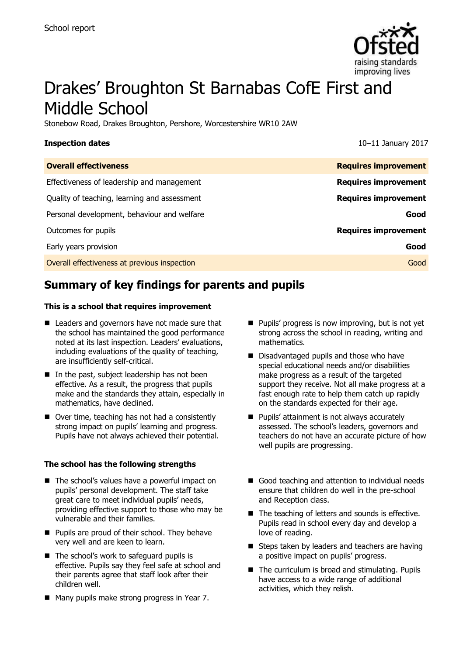

# Drakes' Broughton St Barnabas CofE First and Middle School

Stonebow Road, Drakes Broughton, Pershore, Worcestershire WR10 2AW

**Inspection dates** 10–11 January 2017

| <b>Overall effectiveness</b>                 | <b>Requires improvement</b> |
|----------------------------------------------|-----------------------------|
| Effectiveness of leadership and management   | <b>Requires improvement</b> |
| Quality of teaching, learning and assessment | <b>Requires improvement</b> |
| Personal development, behaviour and welfare  | Good                        |
| Outcomes for pupils                          | <b>Requires improvement</b> |
| Early years provision                        | Good                        |
| Overall effectiveness at previous inspection | Good                        |
|                                              |                             |

# **Summary of key findings for parents and pupils**

### **This is a school that requires improvement**

- Leaders and governors have not made sure that the school has maintained the good performance noted at its last inspection. Leaders' evaluations, including evaluations of the quality of teaching, are insufficiently self-critical.
- $\blacksquare$  In the past, subject leadership has not been effective. As a result, the progress that pupils make and the standards they attain, especially in mathematics, have declined.
- Over time, teaching has not had a consistently strong impact on pupils' learning and progress. Pupils have not always achieved their potential.

### **The school has the following strengths**

- The school's values have a powerful impact on pupils' personal development. The staff take great care to meet individual pupils' needs, providing effective support to those who may be vulnerable and their families.
- **Pupils are proud of their school. They behave** very well and are keen to learn.
- The school's work to safeguard pupils is effective. Pupils say they feel safe at school and their parents agree that staff look after their children well.
- Many pupils make strong progress in Year 7.
- **Pupils' progress is now improving, but is not yet** strong across the school in reading, writing and mathematics.
- Disadvantaged pupils and those who have special educational needs and/or disabilities make progress as a result of the targeted support they receive. Not all make progress at a fast enough rate to help them catch up rapidly on the standards expected for their age.
- **Pupils' attainment is not always accurately** assessed. The school's leaders, governors and teachers do not have an accurate picture of how well pupils are progressing.
- Good teaching and attention to individual needs ensure that children do well in the pre-school and Reception class.
- $\blacksquare$  The teaching of letters and sounds is effective. Pupils read in school every day and develop a love of reading.
- Steps taken by leaders and teachers are having a positive impact on pupils' progress.
- The curriculum is broad and stimulating. Pupils have access to a wide range of additional activities, which they relish.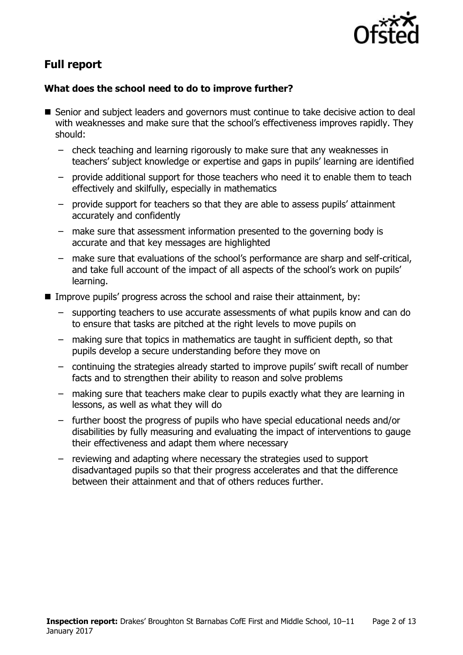

# **Full report**

### **What does the school need to do to improve further?**

- Senior and subject leaders and governors must continue to take decisive action to deal with weaknesses and make sure that the school's effectiveness improves rapidly. They should:
	- check teaching and learning rigorously to make sure that any weaknesses in teachers' subject knowledge or expertise and gaps in pupils' learning are identified
	- provide additional support for those teachers who need it to enable them to teach effectively and skilfully, especially in mathematics
	- provide support for teachers so that they are able to assess pupils' attainment accurately and confidently
	- make sure that assessment information presented to the governing body is accurate and that key messages are highlighted
	- make sure that evaluations of the school's performance are sharp and self-critical, and take full account of the impact of all aspects of the school's work on pupils' learning.
- Improve pupils' progress across the school and raise their attainment, by:
	- supporting teachers to use accurate assessments of what pupils know and can do to ensure that tasks are pitched at the right levels to move pupils on
	- making sure that topics in mathematics are taught in sufficient depth, so that pupils develop a secure understanding before they move on
	- continuing the strategies already started to improve pupils' swift recall of number facts and to strengthen their ability to reason and solve problems
	- making sure that teachers make clear to pupils exactly what they are learning in lessons, as well as what they will do
	- further boost the progress of pupils who have special educational needs and/or disabilities by fully measuring and evaluating the impact of interventions to gauge their effectiveness and adapt them where necessary
	- reviewing and adapting where necessary the strategies used to support disadvantaged pupils so that their progress accelerates and that the difference between their attainment and that of others reduces further.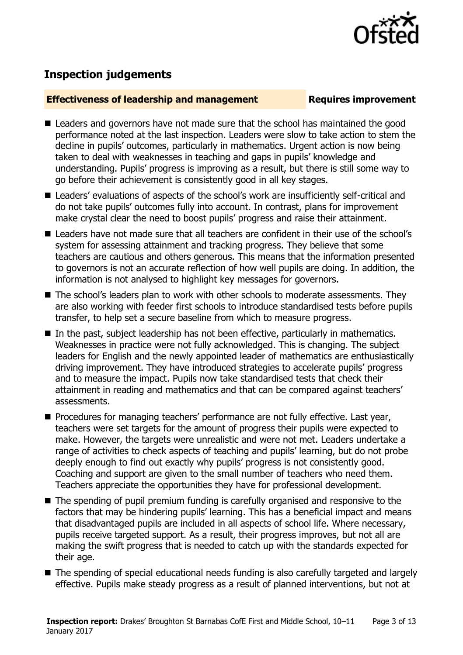

# **Inspection judgements**

### **Effectiveness of leadership and management Requires improvement**

- Leaders and governors have not made sure that the school has maintained the good performance noted at the last inspection. Leaders were slow to take action to stem the decline in pupils' outcomes, particularly in mathematics. Urgent action is now being taken to deal with weaknesses in teaching and gaps in pupils' knowledge and understanding. Pupils' progress is improving as a result, but there is still some way to go before their achievement is consistently good in all key stages.
- Leaders' evaluations of aspects of the school's work are insufficiently self-critical and do not take pupils' outcomes fully into account. In contrast, plans for improvement make crystal clear the need to boost pupils' progress and raise their attainment.
- Leaders have not made sure that all teachers are confident in their use of the school's system for assessing attainment and tracking progress. They believe that some teachers are cautious and others generous. This means that the information presented to governors is not an accurate reflection of how well pupils are doing. In addition, the information is not analysed to highlight key messages for governors.
- The school's leaders plan to work with other schools to moderate assessments. They are also working with feeder first schools to introduce standardised tests before pupils transfer, to help set a secure baseline from which to measure progress.
- In the past, subject leadership has not been effective, particularly in mathematics. Weaknesses in practice were not fully acknowledged. This is changing. The subject leaders for English and the newly appointed leader of mathematics are enthusiastically driving improvement. They have introduced strategies to accelerate pupils' progress and to measure the impact. Pupils now take standardised tests that check their attainment in reading and mathematics and that can be compared against teachers' assessments.
- **Procedures for managing teachers' performance are not fully effective. Last year,** teachers were set targets for the amount of progress their pupils were expected to make. However, the targets were unrealistic and were not met. Leaders undertake a range of activities to check aspects of teaching and pupils' learning, but do not probe deeply enough to find out exactly why pupils' progress is not consistently good. Coaching and support are given to the small number of teachers who need them. Teachers appreciate the opportunities they have for professional development.
- The spending of pupil premium funding is carefully organised and responsive to the factors that may be hindering pupils' learning. This has a beneficial impact and means that disadvantaged pupils are included in all aspects of school life. Where necessary, pupils receive targeted support. As a result, their progress improves, but not all are making the swift progress that is needed to catch up with the standards expected for their age.
- The spending of special educational needs funding is also carefully targeted and largely effective. Pupils make steady progress as a result of planned interventions, but not at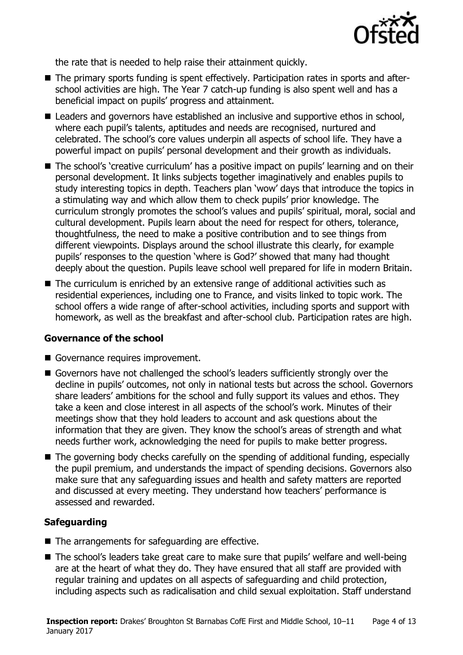

the rate that is needed to help raise their attainment quickly.

- The primary sports funding is spent effectively. Participation rates in sports and afterschool activities are high. The Year 7 catch-up funding is also spent well and has a beneficial impact on pupils' progress and attainment.
- Leaders and governors have established an inclusive and supportive ethos in school, where each pupil's talents, aptitudes and needs are recognised, nurtured and celebrated. The school's core values underpin all aspects of school life. They have a powerful impact on pupils' personal development and their growth as individuals.
- The school's 'creative curriculum' has a positive impact on pupils' learning and on their personal development. It links subjects together imaginatively and enables pupils to study interesting topics in depth. Teachers plan 'wow' days that introduce the topics in a stimulating way and which allow them to check pupils' prior knowledge. The curriculum strongly promotes the school's values and pupils' spiritual, moral, social and cultural development. Pupils learn about the need for respect for others, tolerance, thoughtfulness, the need to make a positive contribution and to see things from different viewpoints. Displays around the school illustrate this clearly, for example pupils' responses to the question 'where is God?' showed that many had thought deeply about the question. Pupils leave school well prepared for life in modern Britain.
- The curriculum is enriched by an extensive range of additional activities such as residential experiences, including one to France, and visits linked to topic work. The school offers a wide range of after-school activities, including sports and support with homework, as well as the breakfast and after-school club. Participation rates are high.

### **Governance of the school**

- Governance requires improvement.
- Governors have not challenged the school's leaders sufficiently strongly over the decline in pupils' outcomes, not only in national tests but across the school. Governors share leaders' ambitions for the school and fully support its values and ethos. They take a keen and close interest in all aspects of the school's work. Minutes of their meetings show that they hold leaders to account and ask questions about the information that they are given. They know the school's areas of strength and what needs further work, acknowledging the need for pupils to make better progress.
- The governing body checks carefully on the spending of additional funding, especially the pupil premium, and understands the impact of spending decisions. Governors also make sure that any safeguarding issues and health and safety matters are reported and discussed at every meeting. They understand how teachers' performance is assessed and rewarded.

### **Safeguarding**

- $\blacksquare$  The arrangements for safeguarding are effective.
- The school's leaders take great care to make sure that pupils' welfare and well-being are at the heart of what they do. They have ensured that all staff are provided with regular training and updates on all aspects of safeguarding and child protection, including aspects such as radicalisation and child sexual exploitation. Staff understand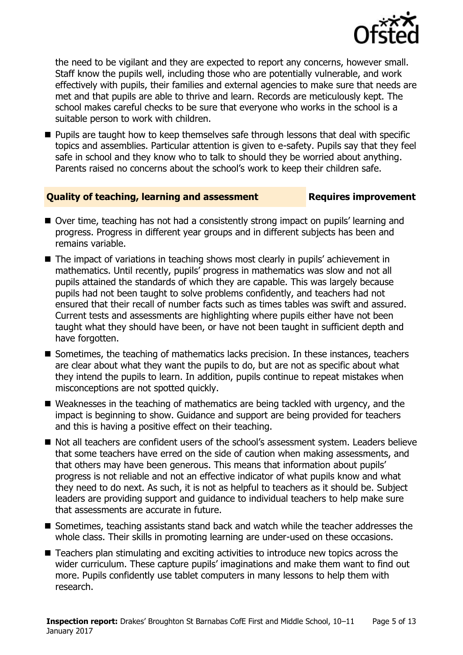

the need to be vigilant and they are expected to report any concerns, however small. Staff know the pupils well, including those who are potentially vulnerable, and work effectively with pupils, their families and external agencies to make sure that needs are met and that pupils are able to thrive and learn. Records are meticulously kept. The school makes careful checks to be sure that everyone who works in the school is a suitable person to work with children.

**Pupils are taught how to keep themselves safe through lessons that deal with specific** topics and assemblies. Particular attention is given to e-safety. Pupils say that they feel safe in school and they know who to talk to should they be worried about anything. Parents raised no concerns about the school's work to keep their children safe.

### **Quality of teaching, learning and assessment Figures improvement**

- Over time, teaching has not had a consistently strong impact on pupils' learning and progress. Progress in different year groups and in different subjects has been and remains variable.
- The impact of variations in teaching shows most clearly in pupils' achievement in mathematics. Until recently, pupils' progress in mathematics was slow and not all pupils attained the standards of which they are capable. This was largely because pupils had not been taught to solve problems confidently, and teachers had not ensured that their recall of number facts such as times tables was swift and assured. Current tests and assessments are highlighting where pupils either have not been taught what they should have been, or have not been taught in sufficient depth and have forgotten.
- Sometimes, the teaching of mathematics lacks precision. In these instances, teachers are clear about what they want the pupils to do, but are not as specific about what they intend the pupils to learn. In addition, pupils continue to repeat mistakes when misconceptions are not spotted quickly.
- Weaknesses in the teaching of mathematics are being tackled with urgency, and the impact is beginning to show. Guidance and support are being provided for teachers and this is having a positive effect on their teaching.
- Not all teachers are confident users of the school's assessment system. Leaders believe that some teachers have erred on the side of caution when making assessments, and that others may have been generous. This means that information about pupils' progress is not reliable and not an effective indicator of what pupils know and what they need to do next. As such, it is not as helpful to teachers as it should be. Subject leaders are providing support and guidance to individual teachers to help make sure that assessments are accurate in future.
- Sometimes, teaching assistants stand back and watch while the teacher addresses the whole class. Their skills in promoting learning are under-used on these occasions.
- Teachers plan stimulating and exciting activities to introduce new topics across the wider curriculum. These capture pupils' imaginations and make them want to find out more. Pupils confidently use tablet computers in many lessons to help them with research.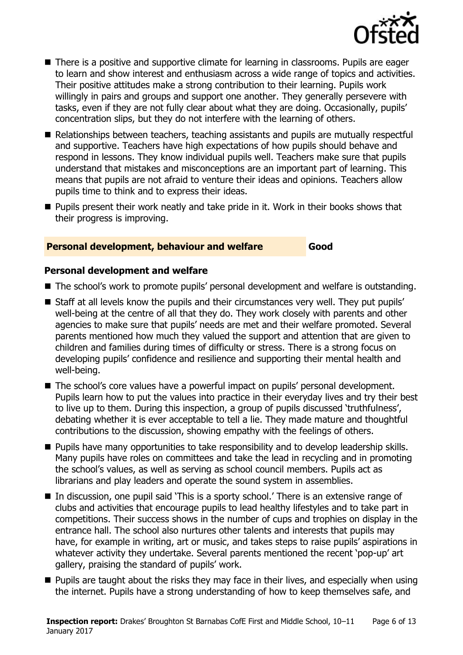

- There is a positive and supportive climate for learning in classrooms. Pupils are eager to learn and show interest and enthusiasm across a wide range of topics and activities. Their positive attitudes make a strong contribution to their learning. Pupils work willingly in pairs and groups and support one another. They generally persevere with tasks, even if they are not fully clear about what they are doing. Occasionally, pupils' concentration slips, but they do not interfere with the learning of others.
- Relationships between teachers, teaching assistants and pupils are mutually respectful and supportive. Teachers have high expectations of how pupils should behave and respond in lessons. They know individual pupils well. Teachers make sure that pupils understand that mistakes and misconceptions are an important part of learning. This means that pupils are not afraid to venture their ideas and opinions. Teachers allow pupils time to think and to express their ideas.
- **Pupils present their work neatly and take pride in it. Work in their books shows that** their progress is improving.

### **Personal development, behaviour and welfare Good**

### **Personal development and welfare**

- The school's work to promote pupils' personal development and welfare is outstanding.
- **Staff at all levels know the pupils and their circumstances very well. They put pupils'** well-being at the centre of all that they do. They work closely with parents and other agencies to make sure that pupils' needs are met and their welfare promoted. Several parents mentioned how much they valued the support and attention that are given to children and families during times of difficulty or stress. There is a strong focus on developing pupils' confidence and resilience and supporting their mental health and well-being.
- The school's core values have a powerful impact on pupils' personal development. Pupils learn how to put the values into practice in their everyday lives and try their best to live up to them. During this inspection, a group of pupils discussed 'truthfulness', debating whether it is ever acceptable to tell a lie. They made mature and thoughtful contributions to the discussion, showing empathy with the feelings of others.
- **Pupils have many opportunities to take responsibility and to develop leadership skills.** Many pupils have roles on committees and take the lead in recycling and in promoting the school's values, as well as serving as school council members. Pupils act as librarians and play leaders and operate the sound system in assemblies.
- In discussion, one pupil said `This is a sporty school.' There is an extensive range of clubs and activities that encourage pupils to lead healthy lifestyles and to take part in competitions. Their success shows in the number of cups and trophies on display in the entrance hall. The school also nurtures other talents and interests that pupils may have, for example in writing, art or music, and takes steps to raise pupils' aspirations in whatever activity they undertake. Several parents mentioned the recent 'pop-up' art gallery, praising the standard of pupils' work.
- **Pupils are taught about the risks they may face in their lives, and especially when using** the internet. Pupils have a strong understanding of how to keep themselves safe, and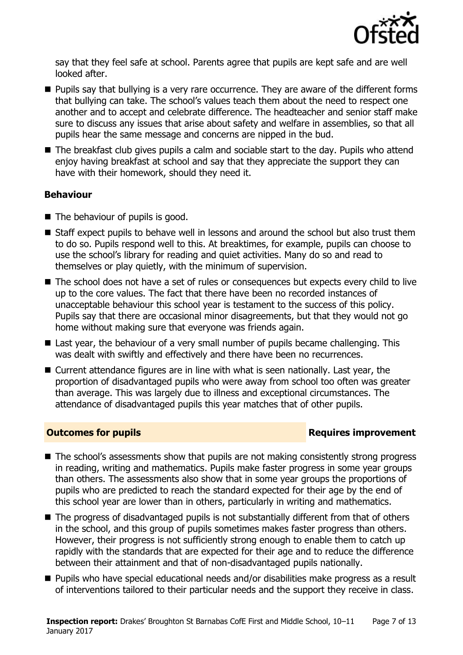

say that they feel safe at school. Parents agree that pupils are kept safe and are well looked after.

- **Pupils say that bullying is a very rare occurrence. They are aware of the different forms** that bullying can take. The school's values teach them about the need to respect one another and to accept and celebrate difference. The headteacher and senior staff make sure to discuss any issues that arise about safety and welfare in assemblies, so that all pupils hear the same message and concerns are nipped in the bud.
- The breakfast club gives pupils a calm and sociable start to the day. Pupils who attend enjoy having breakfast at school and say that they appreciate the support they can have with their homework, should they need it.

### **Behaviour**

- $\blacksquare$  The behaviour of pupils is good.
- Staff expect pupils to behave well in lessons and around the school but also trust them to do so. Pupils respond well to this. At breaktimes, for example, pupils can choose to use the school's library for reading and quiet activities. Many do so and read to themselves or play quietly, with the minimum of supervision.
- The school does not have a set of rules or consequences but expects every child to live up to the core values. The fact that there have been no recorded instances of unacceptable behaviour this school year is testament to the success of this policy. Pupils say that there are occasional minor disagreements, but that they would not go home without making sure that everyone was friends again.
- Last year, the behaviour of a very small number of pupils became challenging. This was dealt with swiftly and effectively and there have been no recurrences.
- Current attendance figures are in line with what is seen nationally. Last year, the proportion of disadvantaged pupils who were away from school too often was greater than average. This was largely due to illness and exceptional circumstances. The attendance of disadvantaged pupils this year matches that of other pupils.

### **Outcomes for pupils Requires improvement**

- The school's assessments show that pupils are not making consistently strong progress in reading, writing and mathematics. Pupils make faster progress in some year groups than others. The assessments also show that in some year groups the proportions of pupils who are predicted to reach the standard expected for their age by the end of this school year are lower than in others, particularly in writing and mathematics.
- The progress of disadvantaged pupils is not substantially different from that of others in the school, and this group of pupils sometimes makes faster progress than others. However, their progress is not sufficiently strong enough to enable them to catch up rapidly with the standards that are expected for their age and to reduce the difference between their attainment and that of non-disadvantaged pupils nationally.
- **Pupils who have special educational needs and/or disabilities make progress as a result** of interventions tailored to their particular needs and the support they receive in class.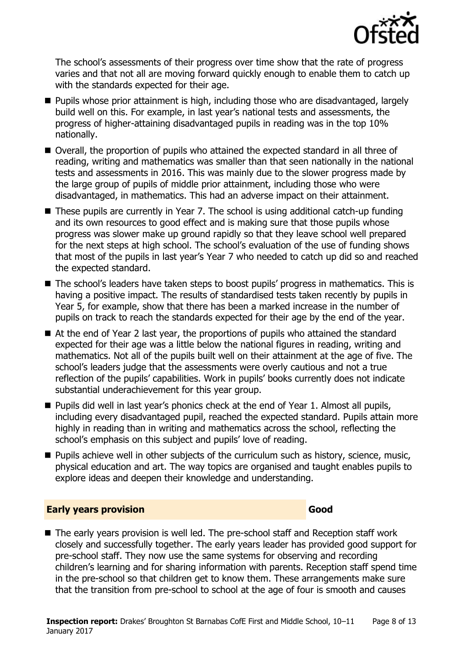

The school's assessments of their progress over time show that the rate of progress varies and that not all are moving forward quickly enough to enable them to catch up with the standards expected for their age.

- Pupils whose prior attainment is high, including those who are disadvantaged, largely build well on this. For example, in last year's national tests and assessments, the progress of higher-attaining disadvantaged pupils in reading was in the top 10% nationally.
- Overall, the proportion of pupils who attained the expected standard in all three of reading, writing and mathematics was smaller than that seen nationally in the national tests and assessments in 2016. This was mainly due to the slower progress made by the large group of pupils of middle prior attainment, including those who were disadvantaged, in mathematics. This had an adverse impact on their attainment.
- These pupils are currently in Year 7. The school is using additional catch-up funding and its own resources to good effect and is making sure that those pupils whose progress was slower make up ground rapidly so that they leave school well prepared for the next steps at high school. The school's evaluation of the use of funding shows that most of the pupils in last year's Year 7 who needed to catch up did so and reached the expected standard.
- The school's leaders have taken steps to boost pupils' progress in mathematics. This is having a positive impact. The results of standardised tests taken recently by pupils in Year 5, for example, show that there has been a marked increase in the number of pupils on track to reach the standards expected for their age by the end of the year.
- At the end of Year 2 last year, the proportions of pupils who attained the standard expected for their age was a little below the national figures in reading, writing and mathematics. Not all of the pupils built well on their attainment at the age of five. The school's leaders judge that the assessments were overly cautious and not a true reflection of the pupils' capabilities. Work in pupils' books currently does not indicate substantial underachievement for this year group.
- **Pupils did well in last year's phonics check at the end of Year 1. Almost all pupils,** including every disadvantaged pupil, reached the expected standard. Pupils attain more highly in reading than in writing and mathematics across the school, reflecting the school's emphasis on this subject and pupils' love of reading.
- **Pupils achieve well in other subjects of the curriculum such as history, science, music,** physical education and art. The way topics are organised and taught enables pupils to explore ideas and deepen their knowledge and understanding.

### **Early years provision Good Good**

■ The early years provision is well led. The pre-school staff and Reception staff work closely and successfully together. The early years leader has provided good support for pre-school staff. They now use the same systems for observing and recording children's learning and for sharing information with parents. Reception staff spend time in the pre-school so that children get to know them. These arrangements make sure that the transition from pre-school to school at the age of four is smooth and causes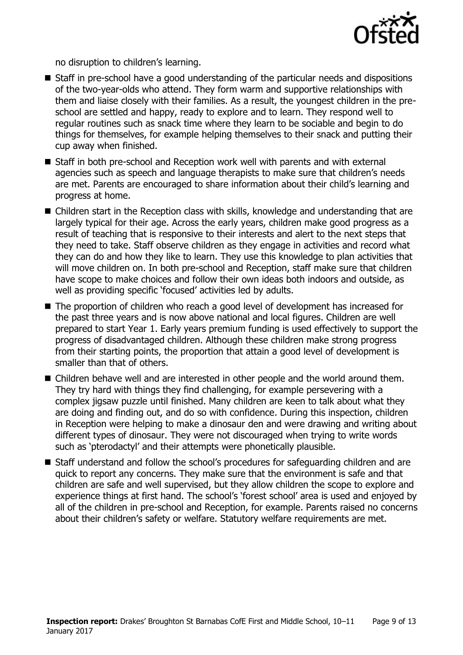

no disruption to children's learning.

- Staff in pre-school have a good understanding of the particular needs and dispositions of the two-year-olds who attend. They form warm and supportive relationships with them and liaise closely with their families. As a result, the youngest children in the preschool are settled and happy, ready to explore and to learn. They respond well to regular routines such as snack time where they learn to be sociable and begin to do things for themselves, for example helping themselves to their snack and putting their cup away when finished.
- Staff in both pre-school and Reception work well with parents and with external agencies such as speech and language therapists to make sure that children's needs are met. Parents are encouraged to share information about their child's learning and progress at home.
- Children start in the Reception class with skills, knowledge and understanding that are largely typical for their age. Across the early years, children make good progress as a result of teaching that is responsive to their interests and alert to the next steps that they need to take. Staff observe children as they engage in activities and record what they can do and how they like to learn. They use this knowledge to plan activities that will move children on. In both pre-school and Reception, staff make sure that children have scope to make choices and follow their own ideas both indoors and outside, as well as providing specific 'focused' activities led by adults.
- The proportion of children who reach a good level of development has increased for the past three years and is now above national and local figures. Children are well prepared to start Year 1. Early years premium funding is used effectively to support the progress of disadvantaged children. Although these children make strong progress from their starting points, the proportion that attain a good level of development is smaller than that of others.
- Children behave well and are interested in other people and the world around them. They try hard with things they find challenging, for example persevering with a complex jigsaw puzzle until finished. Many children are keen to talk about what they are doing and finding out, and do so with confidence. During this inspection, children in Reception were helping to make a dinosaur den and were drawing and writing about different types of dinosaur. They were not discouraged when trying to write words such as 'pterodactyl' and their attempts were phonetically plausible.
- Staff understand and follow the school's procedures for safeguarding children and are quick to report any concerns. They make sure that the environment is safe and that children are safe and well supervised, but they allow children the scope to explore and experience things at first hand. The school's 'forest school' area is used and enjoyed by all of the children in pre-school and Reception, for example. Parents raised no concerns about their children's safety or welfare. Statutory welfare requirements are met.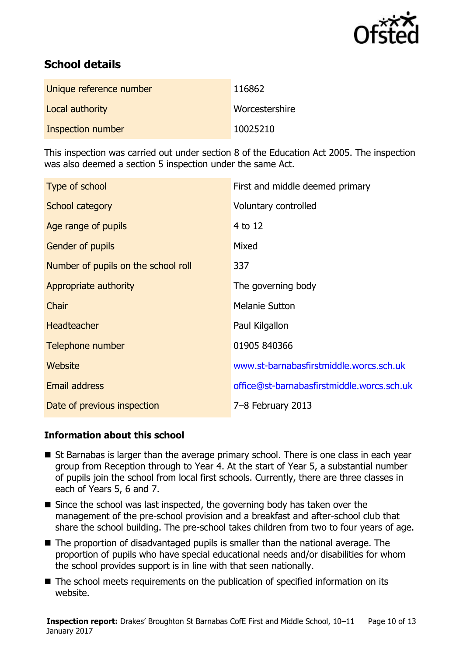

# **School details**

| Unique reference number | 116862         |
|-------------------------|----------------|
| Local authority         | Worcestershire |
| Inspection number       | 10025210       |

This inspection was carried out under section 8 of the Education Act 2005. The inspection was also deemed a section 5 inspection under the same Act.

| Type of school                      | First and middle deemed primary            |
|-------------------------------------|--------------------------------------------|
| School category                     | Voluntary controlled                       |
| Age range of pupils                 | 4 to 12                                    |
| <b>Gender of pupils</b>             | Mixed                                      |
| Number of pupils on the school roll | 337                                        |
| Appropriate authority               | The governing body                         |
| Chair                               | <b>Melanie Sutton</b>                      |
| <b>Headteacher</b>                  | Paul Kilgallon                             |
| Telephone number                    | 01905 840366                               |
| Website                             | www.st-barnabasfirstmiddle.worcs.sch.uk    |
| <b>Email address</b>                | office@st-barnabasfirstmiddle.worcs.sch.uk |
| Date of previous inspection         | 7-8 February 2013                          |

### **Information about this school**

- St Barnabas is larger than the average primary school. There is one class in each year group from Reception through to Year 4. At the start of Year 5, a substantial number of pupils join the school from local first schools. Currently, there are three classes in each of Years 5, 6 and 7.
- $\blacksquare$  Since the school was last inspected, the governing body has taken over the management of the pre-school provision and a breakfast and after-school club that share the school building. The pre-school takes children from two to four years of age.
- The proportion of disadvantaged pupils is smaller than the national average. The proportion of pupils who have special educational needs and/or disabilities for whom the school provides support is in line with that seen nationally.
- The school meets requirements on the publication of specified information on its website.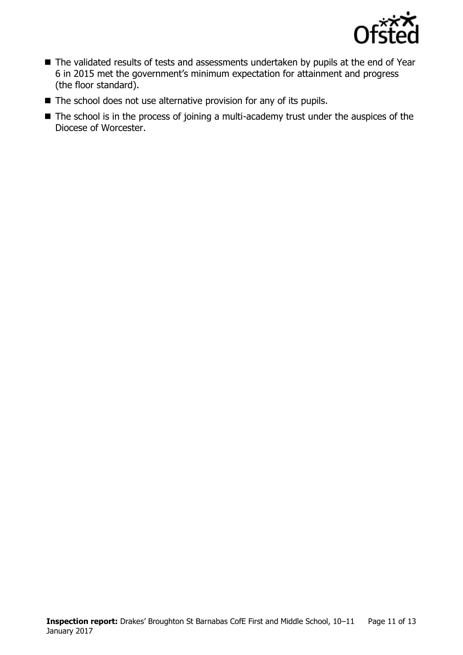

- The validated results of tests and assessments undertaken by pupils at the end of Year 6 in 2015 met the government's minimum expectation for attainment and progress (the floor standard).
- $\blacksquare$  The school does not use alternative provision for any of its pupils.
- The school is in the process of joining a multi-academy trust under the auspices of the Diocese of Worcester.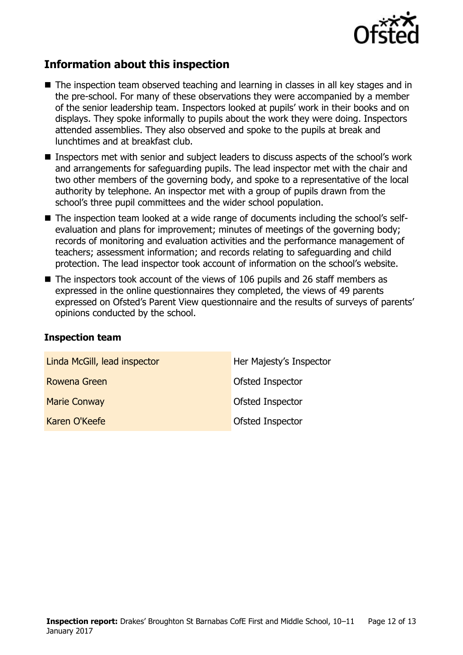

## **Information about this inspection**

- The inspection team observed teaching and learning in classes in all key stages and in the pre-school. For many of these observations they were accompanied by a member of the senior leadership team. Inspectors looked at pupils' work in their books and on displays. They spoke informally to pupils about the work they were doing. Inspectors attended assemblies. They also observed and spoke to the pupils at break and lunchtimes and at breakfast club.
- Inspectors met with senior and subject leaders to discuss aspects of the school's work and arrangements for safeguarding pupils. The lead inspector met with the chair and two other members of the governing body, and spoke to a representative of the local authority by telephone. An inspector met with a group of pupils drawn from the school's three pupil committees and the wider school population.
- The inspection team looked at a wide range of documents including the school's selfevaluation and plans for improvement; minutes of meetings of the governing body; records of monitoring and evaluation activities and the performance management of teachers; assessment information; and records relating to safeguarding and child protection. The lead inspector took account of information on the school's website.
- The inspectors took account of the views of 106 pupils and 26 staff members as expressed in the online questionnaires they completed, the views of 49 parents expressed on Ofsted's Parent View questionnaire and the results of surveys of parents' opinions conducted by the school.

### **Inspection team**

| Linda McGill, lead inspector | Her Majesty's Inspector |
|------------------------------|-------------------------|
| Rowena Green                 | <b>Ofsted Inspector</b> |
| <b>Marie Conway</b>          | <b>Ofsted Inspector</b> |
| Karen O'Keefe                | Ofsted Inspector        |